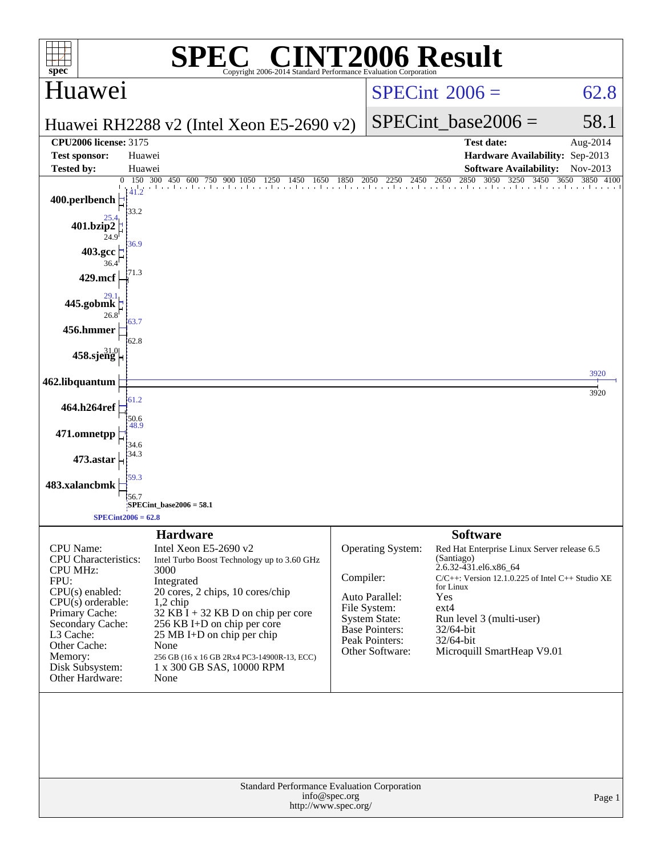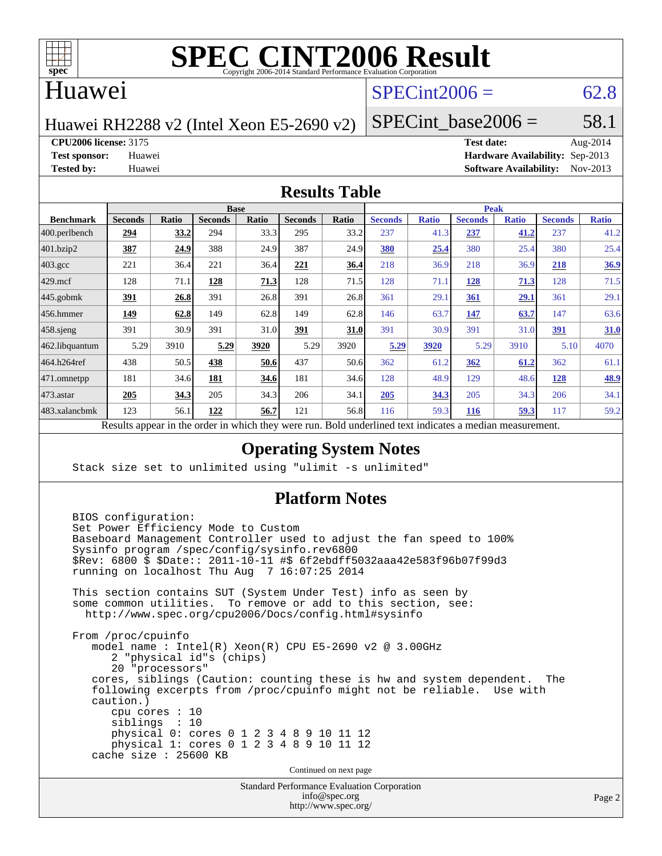

# **[SPEC CINT2006 Result](http://www.spec.org/auto/cpu2006/Docs/result-fields.html#SPECCINT2006Result)**

### Huawei

# $SPECint2006 = 62.8$  $SPECint2006 = 62.8$

Huawei RH2288 v2 (Intel Xeon E5-2690 v2)

SPECint base2006 =  $58.1$ 

**[CPU2006 license:](http://www.spec.org/auto/cpu2006/Docs/result-fields.html#CPU2006license)** 3175 **[Test date:](http://www.spec.org/auto/cpu2006/Docs/result-fields.html#Testdate)** Aug-2014

**[Test sponsor:](http://www.spec.org/auto/cpu2006/Docs/result-fields.html#Testsponsor)** Huawei **[Hardware Availability:](http://www.spec.org/auto/cpu2006/Docs/result-fields.html#HardwareAvailability)** Sep-2013 **[Tested by:](http://www.spec.org/auto/cpu2006/Docs/result-fields.html#Testedby)** Huawei **[Software Availability:](http://www.spec.org/auto/cpu2006/Docs/result-fields.html#SoftwareAvailability)** Nov-2013

#### **[Results Table](http://www.spec.org/auto/cpu2006/Docs/result-fields.html#ResultsTable)**

|                   | <b>Base</b>    |              |                                                    |       |                |       | <b>Peak</b>                                         |              |                |              |                |              |
|-------------------|----------------|--------------|----------------------------------------------------|-------|----------------|-------|-----------------------------------------------------|--------------|----------------|--------------|----------------|--------------|
| <b>Benchmark</b>  | <b>Seconds</b> | <b>Ratio</b> | <b>Seconds</b>                                     | Ratio | <b>Seconds</b> | Ratio | <b>Seconds</b>                                      | <b>Ratio</b> | <b>Seconds</b> | <b>Ratio</b> | <b>Seconds</b> | <b>Ratio</b> |
| $ 400$ .perlbench | 294            | 33.2         | 294                                                | 33.3  | 295            | 33.2  | 237                                                 | 41.3         | 237            | 41.2         | 237            | 41.2         |
| 401.bzip2         | <u>387</u>     | 24.9         | 388                                                | 24.9  | 387            | 24.9  | 380                                                 | 25.4         | 380            | 25.4         | 380            | 25.4         |
| $403.\text{gcc}$  | 221            | 36.4         | 221                                                | 36.4  | 221            | 36.4  | 218                                                 | 36.9         | 218            | 36.9         | 218            | 36.9         |
| $429$ .mcf        | 128            | 71.1         | 128                                                | 71.3  | 128            | 71.5  | 128                                                 | 71.1         | <u>128</u>     | <u>71.3</u>  | 128            | 71.5         |
| $445$ .gobmk      | 391            | 26.8         | 391                                                | 26.8  | 391            | 26.8  | 361                                                 | 29.1         | 361            | 29.1         | 361            | 29.1         |
| $456.$ hmmer      | 149            | 62.8         | 149                                                | 62.8  | 149            | 62.8  | 146                                                 | 63.7         | 147            | 63.7         | 147            | 63.6         |
| $458$ .sjeng      | 391            | 30.9         | 391                                                | 31.0  | <u>391</u>     | 31.0  | 391                                                 | 30.9         | 391            | 31.0         | 391            | 31.0         |
| 462.libquantum    | 5.29           | 3910         | 5.29                                               | 3920  | 5.29           | 3920  | 5.29                                                | 3920         | 5.29           | 3910         | 5.10           | 4070         |
| 464.h264ref       | 438            | 50.5         | 438                                                | 50.6  | 437            | 50.6  | 362                                                 | 61.2         | 362            | 61.2         | 362            | 61.1         |
| 471.omnetpp       | 181            | 34.6         | 181                                                | 34.6  | 181            | 34.6  | 128                                                 | 48.9         | 129            | 48.6         | 128            | 48.9         |
| $473.$ astar      | 205            | 34.3         | 205                                                | 34.3  | 206            | 34.1  | 205                                                 | 34.3         | 205            | 34.3         | 206            | 34.1         |
| 483.xalancbmk     | 123            | 56.1         | 122                                                | 56.7  | 121            | 56.8  | 116                                                 | 59.3         | <b>116</b>     | 59.3         | 117            | 59.2         |
|                   |                |              | Decute ennoyed in the endor in which they were min |       |                |       | Dold underlined text indicates a madian measurement |              |                |              |                |              |

Results appear in the [order in which they were run.](http://www.spec.org/auto/cpu2006/Docs/result-fields.html#RunOrder) Bold underlined text [indicates a median measurement.](http://www.spec.org/auto/cpu2006/Docs/result-fields.html#Median)

### **[Operating System Notes](http://www.spec.org/auto/cpu2006/Docs/result-fields.html#OperatingSystemNotes)**

Stack size set to unlimited using "ulimit -s unlimited"

### **[Platform Notes](http://www.spec.org/auto/cpu2006/Docs/result-fields.html#PlatformNotes)**

Standard Performance Evaluation Corporation BIOS configuration: Set Power Efficiency Mode to Custom Baseboard Management Controller used to adjust the fan speed to 100% Sysinfo program /spec/config/sysinfo.rev6800 \$Rev: 6800 \$ \$Date:: 2011-10-11 #\$ 6f2ebdff5032aaa42e583f96b07f99d3 running on localhost Thu Aug 7 16:07:25 2014 This section contains SUT (System Under Test) info as seen by some common utilities. To remove or add to this section, see: <http://www.spec.org/cpu2006/Docs/config.html#sysinfo> From /proc/cpuinfo model name : Intel(R) Xeon(R) CPU E5-2690 v2 @ 3.00GHz 2 "physical id"s (chips) 20 "processors" cores, siblings (Caution: counting these is hw and system dependent. The following excerpts from /proc/cpuinfo might not be reliable. Use with caution.) cpu cores : 10 siblings : 10 physical 0: cores 0 1 2 3 4 8 9 10 11 12 physical 1: cores 0 1 2 3 4 8 9 10 11 12 cache size : 25600 KB Continued on next page

> [info@spec.org](mailto:info@spec.org) <http://www.spec.org/>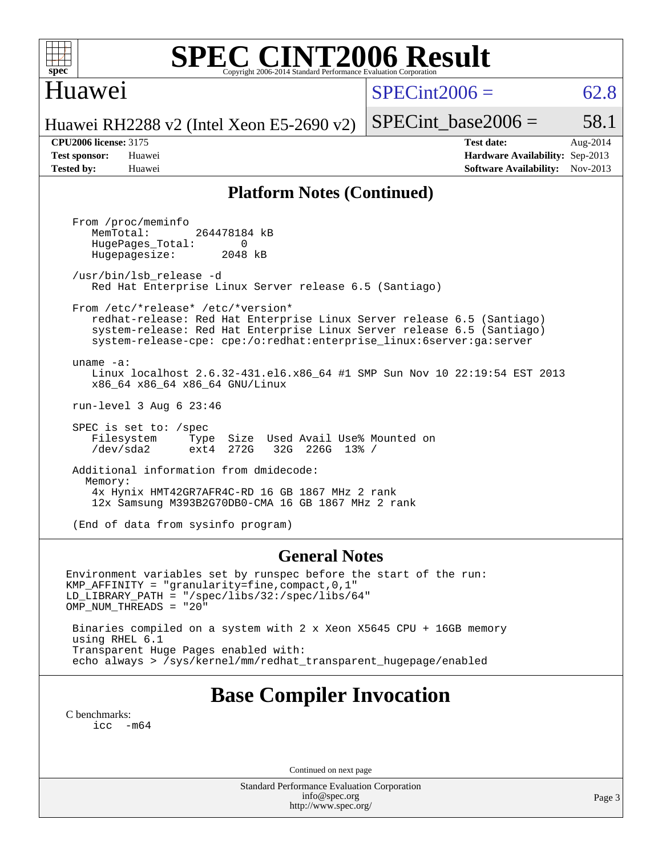

# **[SPEC CINT2006 Result](http://www.spec.org/auto/cpu2006/Docs/result-fields.html#SPECCINT2006Result)**

# Huawei

 $SPECint2006 = 62.8$  $SPECint2006 = 62.8$ 

Huawei RH2288 v2 (Intel Xeon E5-2690 v2)

SPECint base2006 =  $58.1$ 

**[CPU2006 license:](http://www.spec.org/auto/cpu2006/Docs/result-fields.html#CPU2006license)** 3175 **[Test date:](http://www.spec.org/auto/cpu2006/Docs/result-fields.html#Testdate)** Aug-2014 **[Test sponsor:](http://www.spec.org/auto/cpu2006/Docs/result-fields.html#Testsponsor)** Huawei **[Hardware Availability:](http://www.spec.org/auto/cpu2006/Docs/result-fields.html#HardwareAvailability)** Sep-2013 **[Tested by:](http://www.spec.org/auto/cpu2006/Docs/result-fields.html#Testedby)** Huawei **[Software Availability:](http://www.spec.org/auto/cpu2006/Docs/result-fields.html#SoftwareAvailability)** Nov-2013

#### **[Platform Notes \(Continued\)](http://www.spec.org/auto/cpu2006/Docs/result-fields.html#PlatformNotes)**

 From /proc/meminfo MemTotal: 264478184 kB HugePages\_Total: 0<br>Hugepagesize: 2048 kB Hugepagesize: /usr/bin/lsb\_release -d Red Hat Enterprise Linux Server release 6.5 (Santiago) From /etc/\*release\* /etc/\*version\* redhat-release: Red Hat Enterprise Linux Server release 6.5 (Santiago) system-release: Red Hat Enterprise Linux Server release 6.5 (Santiago) system-release-cpe: cpe:/o:redhat:enterprise\_linux:6server:ga:server uname -a: Linux localhost 2.6.32-431.el6.x86\_64 #1 SMP Sun Nov 10 22:19:54 EST 2013 x86\_64 x86\_64 x86\_64 GNU/Linux run-level 3 Aug 6 23:46 SPEC is set to: /spec Filesystem Type Size Used Avail Use% Mounted on<br>
/dev/sda2 ext4 272G 32G 226G 13% / 32G 226G 13% / Additional information from dmidecode: Memory: 4x Hynix HMT42GR7AFR4C-RD 16 GB 1867 MHz 2 rank 12x Samsung M393B2G70DB0-CMA 16 GB 1867 MHz 2 rank

(End of data from sysinfo program)

#### **[General Notes](http://www.spec.org/auto/cpu2006/Docs/result-fields.html#GeneralNotes)**

Environment variables set by runspec before the start of the run: KMP\_AFFINITY = "granularity=fine,compact,0,1" LD\_LIBRARY\_PATH = "/spec/libs/32:/spec/libs/64" OMP\_NUM\_THREADS = "20" Binaries compiled on a system with 2 x Xeon X5645 CPU + 16GB memory

 using RHEL 6.1 Transparent Huge Pages enabled with: echo always > /sys/kernel/mm/redhat\_transparent\_hugepage/enabled

# **[Base Compiler Invocation](http://www.spec.org/auto/cpu2006/Docs/result-fields.html#BaseCompilerInvocation)**

[C benchmarks](http://www.spec.org/auto/cpu2006/Docs/result-fields.html#Cbenchmarks):  $\text{icc}$   $-\text{m64}$ 

Continued on next page

Standard Performance Evaluation Corporation [info@spec.org](mailto:info@spec.org) <http://www.spec.org/>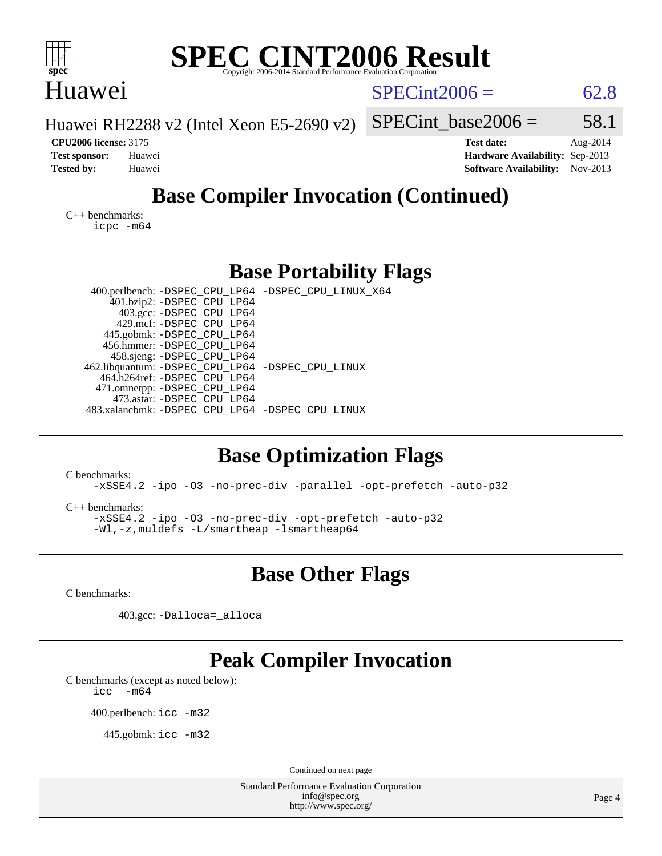| <b>SPEC CINT2006 Result</b><br>spec <sup>®</sup><br>Copyright 2006-2014 Standard Performance Evaluation Corporation                                                                                                                                                                                                                                                                                                                       |                                                                                                               |  |  |  |  |  |  |
|-------------------------------------------------------------------------------------------------------------------------------------------------------------------------------------------------------------------------------------------------------------------------------------------------------------------------------------------------------------------------------------------------------------------------------------------|---------------------------------------------------------------------------------------------------------------|--|--|--|--|--|--|
| Huawei                                                                                                                                                                                                                                                                                                                                                                                                                                    | $SPECint2006 =$<br>62.8                                                                                       |  |  |  |  |  |  |
| Huawei RH2288 v2 (Intel Xeon E5-2690 v2)                                                                                                                                                                                                                                                                                                                                                                                                  | 58.1<br>$SPECint$ base2006 =                                                                                  |  |  |  |  |  |  |
| <b>CPU2006 license: 3175</b><br><b>Test sponsor:</b><br>Huawei<br><b>Tested by:</b><br>Huawei                                                                                                                                                                                                                                                                                                                                             | <b>Test date:</b><br>Aug-2014<br>Hardware Availability: Sep-2013<br>Nov-2013<br><b>Software Availability:</b> |  |  |  |  |  |  |
| <b>Base Compiler Invocation (Continued)</b>                                                                                                                                                                                                                                                                                                                                                                                               |                                                                                                               |  |  |  |  |  |  |
| $C_{++}$ benchmarks:<br>$icpc$ $-m64$                                                                                                                                                                                                                                                                                                                                                                                                     |                                                                                                               |  |  |  |  |  |  |
| <b>Base Portability Flags</b>                                                                                                                                                                                                                                                                                                                                                                                                             |                                                                                                               |  |  |  |  |  |  |
| 400.perlbench: -DSPEC_CPU_LP64 -DSPEC_CPU_LINUX_X64<br>401.bzip2: -DSPEC_CPU_LP64<br>403.gcc: -DSPEC_CPU_LP64<br>429.mcf: -DSPEC_CPU_LP64<br>445.gobmk: -DSPEC_CPU_LP64<br>456.hmmer: - DSPEC CPU LP64<br>458.sjeng: -DSPEC_CPU_LP64<br>462.libquantum: -DSPEC_CPU_LP64 -DSPEC_CPU_LINUX<br>464.h264ref: -DSPEC_CPU_LP64<br>471.omnetpp: -DSPEC_CPU_LP64<br>473.astar: -DSPEC_CPU_LP64<br>483.xalancbmk: -DSPEC CPU LP64 -DSPEC CPU LINUX |                                                                                                               |  |  |  |  |  |  |
| <b>Base Optimization Flags</b><br>C benchmarks:<br>-xSSE4.2 -ipo -03 -no-prec-div -parallel -opt-prefetch -auto-p32<br>$C_{++}$ benchmarks:<br>-xSSE4.2 -ipo -03 -no-prec-div -opt-prefetch -auto-p32<br>-Wl,-z, muldefs -L/smartheap -lsmartheap64                                                                                                                                                                                       |                                                                                                               |  |  |  |  |  |  |
| <b>Base Other Flags</b>                                                                                                                                                                                                                                                                                                                                                                                                                   |                                                                                                               |  |  |  |  |  |  |
| C benchmarks:<br>403.gcc: -Dalloca=_alloca                                                                                                                                                                                                                                                                                                                                                                                                |                                                                                                               |  |  |  |  |  |  |
| <b>Peak Compiler Invocation</b><br>C benchmarks (except as noted below):<br>$-m64$<br>icc<br>400.perlbench: icc -m32                                                                                                                                                                                                                                                                                                                      |                                                                                                               |  |  |  |  |  |  |
| 445.gobmk: icc -m32                                                                                                                                                                                                                                                                                                                                                                                                                       |                                                                                                               |  |  |  |  |  |  |
| Continued on next page                                                                                                                                                                                                                                                                                                                                                                                                                    |                                                                                                               |  |  |  |  |  |  |
| Standard Performance Evaluation Corporation<br>info@spec.org<br>http://www.spec.org/                                                                                                                                                                                                                                                                                                                                                      | Page 4                                                                                                        |  |  |  |  |  |  |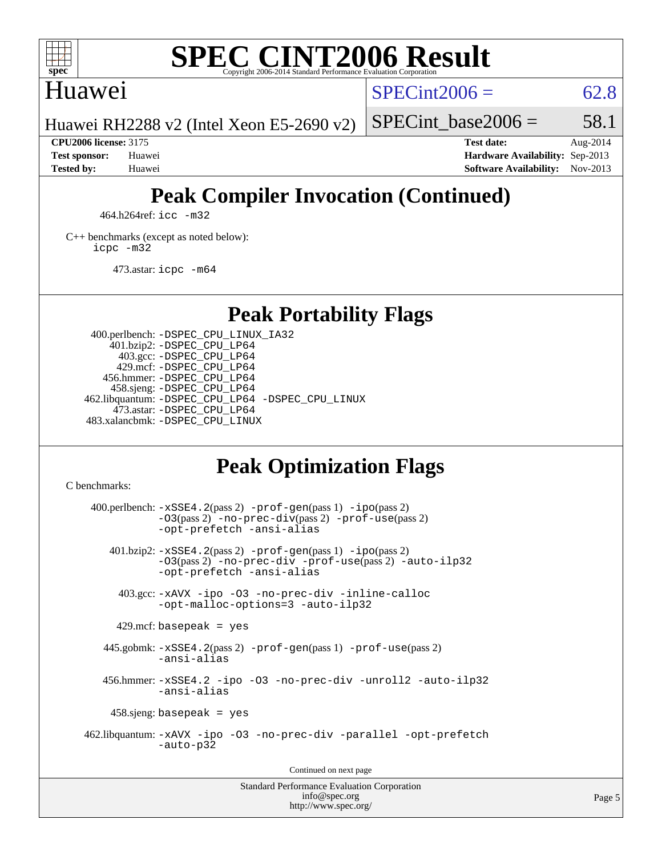

# **[SPEC CINT2006 Result](http://www.spec.org/auto/cpu2006/Docs/result-fields.html#SPECCINT2006Result)**

## Huawei

 $SPECint2006 = 62.8$  $SPECint2006 = 62.8$ 

Huawei RH2288 v2 (Intel Xeon E5-2690 v2)

SPECint base2006 =  $58.1$ 

**[CPU2006 license:](http://www.spec.org/auto/cpu2006/Docs/result-fields.html#CPU2006license)** 3175 **[Test date:](http://www.spec.org/auto/cpu2006/Docs/result-fields.html#Testdate)** Aug-2014 **[Test sponsor:](http://www.spec.org/auto/cpu2006/Docs/result-fields.html#Testsponsor)** Huawei **[Hardware Availability:](http://www.spec.org/auto/cpu2006/Docs/result-fields.html#HardwareAvailability)** Sep-2013 **[Tested by:](http://www.spec.org/auto/cpu2006/Docs/result-fields.html#Testedby)** Huawei **[Software Availability:](http://www.spec.org/auto/cpu2006/Docs/result-fields.html#SoftwareAvailability)** Nov-2013

# **[Peak Compiler Invocation \(Continued\)](http://www.spec.org/auto/cpu2006/Docs/result-fields.html#PeakCompilerInvocation)**

464.h264ref: [icc -m32](http://www.spec.org/cpu2006/results/res2014q3/cpu2006-20140810-30852.flags.html#user_peakCCLD464_h264ref_intel_icc_a6a621f8d50482236b970c6ac5f55f93)

[C++ benchmarks \(except as noted below\):](http://www.spec.org/auto/cpu2006/Docs/result-fields.html#CXXbenchmarksexceptasnotedbelow) [icpc -m32](http://www.spec.org/cpu2006/results/res2014q3/cpu2006-20140810-30852.flags.html#user_CXXpeak_intel_icpc_4e5a5ef1a53fd332b3c49e69c3330699)

473.astar: [icpc -m64](http://www.spec.org/cpu2006/results/res2014q3/cpu2006-20140810-30852.flags.html#user_peakCXXLD473_astar_intel_icpc_64bit_fc66a5337ce925472a5c54ad6a0de310)

# **[Peak Portability Flags](http://www.spec.org/auto/cpu2006/Docs/result-fields.html#PeakPortabilityFlags)**

 400.perlbench: [-DSPEC\\_CPU\\_LINUX\\_IA32](http://www.spec.org/cpu2006/results/res2014q3/cpu2006-20140810-30852.flags.html#b400.perlbench_peakCPORTABILITY_DSPEC_CPU_LINUX_IA32) 401.bzip2: [-DSPEC\\_CPU\\_LP64](http://www.spec.org/cpu2006/results/res2014q3/cpu2006-20140810-30852.flags.html#suite_peakPORTABILITY401_bzip2_DSPEC_CPU_LP64) 403.gcc: [-DSPEC\\_CPU\\_LP64](http://www.spec.org/cpu2006/results/res2014q3/cpu2006-20140810-30852.flags.html#suite_peakPORTABILITY403_gcc_DSPEC_CPU_LP64) 429.mcf: [-DSPEC\\_CPU\\_LP64](http://www.spec.org/cpu2006/results/res2014q3/cpu2006-20140810-30852.flags.html#suite_peakPORTABILITY429_mcf_DSPEC_CPU_LP64) 456.hmmer: [-DSPEC\\_CPU\\_LP64](http://www.spec.org/cpu2006/results/res2014q3/cpu2006-20140810-30852.flags.html#suite_peakPORTABILITY456_hmmer_DSPEC_CPU_LP64) 458.sjeng: [-DSPEC\\_CPU\\_LP64](http://www.spec.org/cpu2006/results/res2014q3/cpu2006-20140810-30852.flags.html#suite_peakPORTABILITY458_sjeng_DSPEC_CPU_LP64) 462.libquantum: [-DSPEC\\_CPU\\_LP64](http://www.spec.org/cpu2006/results/res2014q3/cpu2006-20140810-30852.flags.html#suite_peakPORTABILITY462_libquantum_DSPEC_CPU_LP64) [-DSPEC\\_CPU\\_LINUX](http://www.spec.org/cpu2006/results/res2014q3/cpu2006-20140810-30852.flags.html#b462.libquantum_peakCPORTABILITY_DSPEC_CPU_LINUX) 473.astar: [-DSPEC\\_CPU\\_LP64](http://www.spec.org/cpu2006/results/res2014q3/cpu2006-20140810-30852.flags.html#suite_peakPORTABILITY473_astar_DSPEC_CPU_LP64) 483.xalancbmk: [-DSPEC\\_CPU\\_LINUX](http://www.spec.org/cpu2006/results/res2014q3/cpu2006-20140810-30852.flags.html#b483.xalancbmk_peakCXXPORTABILITY_DSPEC_CPU_LINUX)

# **[Peak Optimization Flags](http://www.spec.org/auto/cpu2006/Docs/result-fields.html#PeakOptimizationFlags)**

[C benchmarks](http://www.spec.org/auto/cpu2006/Docs/result-fields.html#Cbenchmarks):

 $400.$ perlbench:  $-xSSE4$ .  $2(pass 2)$  -prof-qen(pass 1) [-ipo](http://www.spec.org/cpu2006/results/res2014q3/cpu2006-20140810-30852.flags.html#user_peakPASS2_CFLAGSPASS2_LDCFLAGS400_perlbench_f-ipo)(pass 2) [-O3](http://www.spec.org/cpu2006/results/res2014q3/cpu2006-20140810-30852.flags.html#user_peakPASS2_CFLAGSPASS2_LDCFLAGS400_perlbench_f-O3)(pass 2) [-no-prec-div](http://www.spec.org/cpu2006/results/res2014q3/cpu2006-20140810-30852.flags.html#user_peakPASS2_CFLAGSPASS2_LDCFLAGS400_perlbench_f-no-prec-div)(pass 2) [-prof-use](http://www.spec.org/cpu2006/results/res2014q3/cpu2006-20140810-30852.flags.html#user_peakPASS2_CFLAGSPASS2_LDCFLAGS400_perlbench_prof_use_bccf7792157ff70d64e32fe3e1250b55)(pass 2) [-opt-prefetch](http://www.spec.org/cpu2006/results/res2014q3/cpu2006-20140810-30852.flags.html#user_peakCOPTIMIZE400_perlbench_f-opt-prefetch) [-ansi-alias](http://www.spec.org/cpu2006/results/res2014q3/cpu2006-20140810-30852.flags.html#user_peakCOPTIMIZE400_perlbench_f-ansi-alias) 401.bzip2: [-xSSE4.2](http://www.spec.org/cpu2006/results/res2014q3/cpu2006-20140810-30852.flags.html#user_peakPASS2_CFLAGSPASS2_LDCFLAGS401_bzip2_f-xSSE42_f91528193cf0b216347adb8b939d4107)(pass 2) [-prof-gen](http://www.spec.org/cpu2006/results/res2014q3/cpu2006-20140810-30852.flags.html#user_peakPASS1_CFLAGSPASS1_LDCFLAGS401_bzip2_prof_gen_e43856698f6ca7b7e442dfd80e94a8fc)(pass 1) [-ipo](http://www.spec.org/cpu2006/results/res2014q3/cpu2006-20140810-30852.flags.html#user_peakPASS2_CFLAGSPASS2_LDCFLAGS401_bzip2_f-ipo)(pass 2) [-O3](http://www.spec.org/cpu2006/results/res2014q3/cpu2006-20140810-30852.flags.html#user_peakPASS2_CFLAGSPASS2_LDCFLAGS401_bzip2_f-O3)(pass 2) [-no-prec-div](http://www.spec.org/cpu2006/results/res2014q3/cpu2006-20140810-30852.flags.html#user_peakCOPTIMIZEPASS2_CFLAGSPASS2_LDCFLAGS401_bzip2_f-no-prec-div) [-prof-use](http://www.spec.org/cpu2006/results/res2014q3/cpu2006-20140810-30852.flags.html#user_peakPASS2_CFLAGSPASS2_LDCFLAGS401_bzip2_prof_use_bccf7792157ff70d64e32fe3e1250b55)(pass 2) [-auto-ilp32](http://www.spec.org/cpu2006/results/res2014q3/cpu2006-20140810-30852.flags.html#user_peakCOPTIMIZE401_bzip2_f-auto-ilp32) [-opt-prefetch](http://www.spec.org/cpu2006/results/res2014q3/cpu2006-20140810-30852.flags.html#user_peakCOPTIMIZE401_bzip2_f-opt-prefetch) [-ansi-alias](http://www.spec.org/cpu2006/results/res2014q3/cpu2006-20140810-30852.flags.html#user_peakCOPTIMIZE401_bzip2_f-ansi-alias) 403.gcc: [-xAVX](http://www.spec.org/cpu2006/results/res2014q3/cpu2006-20140810-30852.flags.html#user_peakCOPTIMIZE403_gcc_f-xAVX) [-ipo](http://www.spec.org/cpu2006/results/res2014q3/cpu2006-20140810-30852.flags.html#user_peakCOPTIMIZE403_gcc_f-ipo) [-O3](http://www.spec.org/cpu2006/results/res2014q3/cpu2006-20140810-30852.flags.html#user_peakCOPTIMIZE403_gcc_f-O3) [-no-prec-div](http://www.spec.org/cpu2006/results/res2014q3/cpu2006-20140810-30852.flags.html#user_peakCOPTIMIZE403_gcc_f-no-prec-div) [-inline-calloc](http://www.spec.org/cpu2006/results/res2014q3/cpu2006-20140810-30852.flags.html#user_peakCOPTIMIZE403_gcc_f-inline-calloc) [-opt-malloc-options=3](http://www.spec.org/cpu2006/results/res2014q3/cpu2006-20140810-30852.flags.html#user_peakCOPTIMIZE403_gcc_f-opt-malloc-options_13ab9b803cf986b4ee62f0a5998c2238) [-auto-ilp32](http://www.spec.org/cpu2006/results/res2014q3/cpu2006-20140810-30852.flags.html#user_peakCOPTIMIZE403_gcc_f-auto-ilp32)  $429$ .mcf: basepeak = yes 445.gobmk: [-xSSE4.2](http://www.spec.org/cpu2006/results/res2014q3/cpu2006-20140810-30852.flags.html#user_peakPASS2_CFLAGSPASS2_LDCFLAGS445_gobmk_f-xSSE42_f91528193cf0b216347adb8b939d4107)(pass 2) [-prof-gen](http://www.spec.org/cpu2006/results/res2014q3/cpu2006-20140810-30852.flags.html#user_peakPASS1_CFLAGSPASS1_LDCFLAGS445_gobmk_prof_gen_e43856698f6ca7b7e442dfd80e94a8fc)(pass 1) [-prof-use](http://www.spec.org/cpu2006/results/res2014q3/cpu2006-20140810-30852.flags.html#user_peakPASS2_CFLAGSPASS2_LDCFLAGS445_gobmk_prof_use_bccf7792157ff70d64e32fe3e1250b55)(pass 2) [-ansi-alias](http://www.spec.org/cpu2006/results/res2014q3/cpu2006-20140810-30852.flags.html#user_peakCOPTIMIZE445_gobmk_f-ansi-alias) 456.hmmer: [-xSSE4.2](http://www.spec.org/cpu2006/results/res2014q3/cpu2006-20140810-30852.flags.html#user_peakCOPTIMIZE456_hmmer_f-xSSE42_f91528193cf0b216347adb8b939d4107) [-ipo](http://www.spec.org/cpu2006/results/res2014q3/cpu2006-20140810-30852.flags.html#user_peakCOPTIMIZE456_hmmer_f-ipo) [-O3](http://www.spec.org/cpu2006/results/res2014q3/cpu2006-20140810-30852.flags.html#user_peakCOPTIMIZE456_hmmer_f-O3) [-no-prec-div](http://www.spec.org/cpu2006/results/res2014q3/cpu2006-20140810-30852.flags.html#user_peakCOPTIMIZE456_hmmer_f-no-prec-div) [-unroll2](http://www.spec.org/cpu2006/results/res2014q3/cpu2006-20140810-30852.flags.html#user_peakCOPTIMIZE456_hmmer_f-unroll_784dae83bebfb236979b41d2422d7ec2) [-auto-ilp32](http://www.spec.org/cpu2006/results/res2014q3/cpu2006-20140810-30852.flags.html#user_peakCOPTIMIZE456_hmmer_f-auto-ilp32) [-ansi-alias](http://www.spec.org/cpu2006/results/res2014q3/cpu2006-20140810-30852.flags.html#user_peakCOPTIMIZE456_hmmer_f-ansi-alias) 458.sjeng: basepeak = yes 462.libquantum: [-xAVX](http://www.spec.org/cpu2006/results/res2014q3/cpu2006-20140810-30852.flags.html#user_peakCOPTIMIZE462_libquantum_f-xAVX) [-ipo](http://www.spec.org/cpu2006/results/res2014q3/cpu2006-20140810-30852.flags.html#user_peakCOPTIMIZE462_libquantum_f-ipo) [-O3](http://www.spec.org/cpu2006/results/res2014q3/cpu2006-20140810-30852.flags.html#user_peakCOPTIMIZE462_libquantum_f-O3) [-no-prec-div](http://www.spec.org/cpu2006/results/res2014q3/cpu2006-20140810-30852.flags.html#user_peakCOPTIMIZE462_libquantum_f-no-prec-div) [-parallel](http://www.spec.org/cpu2006/results/res2014q3/cpu2006-20140810-30852.flags.html#user_peakCOPTIMIZE462_libquantum_f-parallel) [-opt-prefetch](http://www.spec.org/cpu2006/results/res2014q3/cpu2006-20140810-30852.flags.html#user_peakCOPTIMIZE462_libquantum_f-opt-prefetch) [-auto-p32](http://www.spec.org/cpu2006/results/res2014q3/cpu2006-20140810-30852.flags.html#user_peakCOPTIMIZE462_libquantum_f-auto-p32) Continued on next page

Standard Performance Evaluation Corporation [info@spec.org](mailto:info@spec.org) <http://www.spec.org/>

Page 5